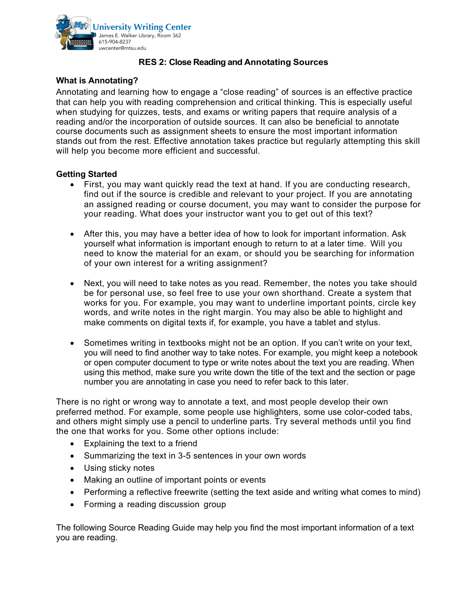

## **RES 2: Close Reading and Annotating Sources**

## **What is Annotating?**

Annotating and learning how to engage a "close reading" of sources is an effective practice that can help you with reading comprehension and critical thinking. This is especially useful when studying for quizzes, tests, and exams or writing papers that require analysis of a reading and/or the incorporation of outside sources. It can also be beneficial to annotate course documents such as assignment sheets to ensure the most important information stands out from the rest. Effective annotation takes practice but regularly attempting this skill will help you become more efficient and successful.

## **Getting Started**

- First, you may want quickly read the text at hand. If you are conducting research, find out if the source is credible and relevant to your project. If you are annotating an assigned reading or course document, you may want to consider the purpose for your reading. What does your instructor want you to get out of this text?
- After this, you may have a better idea of how to look for important information. Ask yourself what information is important enough to return to at a later time. Will you need to know the material for an exam, or should you be searching for information of your own interest for a writing assignment?
- Next, you will need to take notes as you read. Remember, the notes you take should be for personal use, so feel free to use your own shorthand. Create a system that works for you. For example, you may want to underline important points, circle key words, and write notes in the right margin. You may also be able to highlight and make comments on digital texts if, for example, you have a tablet and stylus.
- Sometimes writing in textbooks might not be an option. If you can't write on your text, you will need to find another way to take notes. For example, you might keep a notebook or open computer document to type or write notes about the text you are reading. When using this method, make sure you write down the title of the text and the section or page number you are annotating in case you need to refer back to this later.

There is no right or wrong way to annotate a text, and most people develop their own preferred method. For example, some people use highlighters, some use color-coded tabs, and others might simply use a pencil to underline parts. Try several methods until you find the one that works for you. Some other options include:

- Explaining the text to a friend
- Summarizing the text in 3-5 sentences in your own words
- Using sticky notes
- Making an outline of important points or events
- Performing a reflective freewrite (setting the text aside and writing what comes to mind)
- Forming a reading discussion group

The following Source Reading Guide may help you find the most important information of a text you are reading.